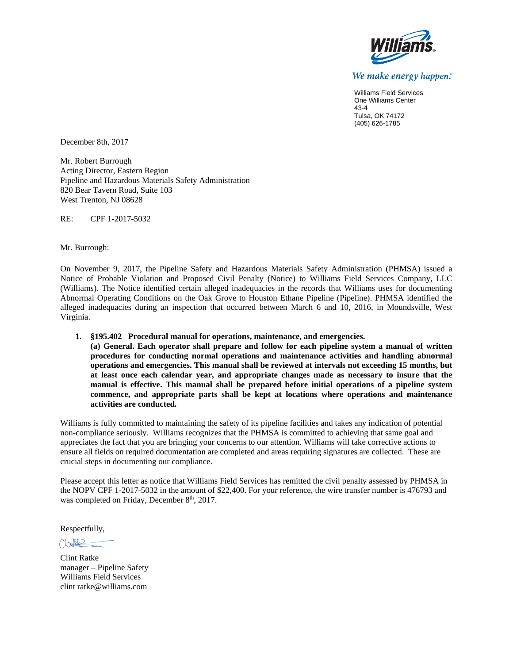

We make energy happen.<sup>®</sup>

Williams Field Services One Williams Center 43-4 Tulsa, OK 74172 (405) 626-1785

December 8th, 2017

Mr. Robert Burrough Acting Director, Eastern Region Pipeline and Hazardous Materials Safety Administration 820 Bear Tavern Road, Suite 103 West Trenton, NJ 08628

RE: CPF 1-2017-5032

Mr. Burrough:

On November 9, 2017, the Pipeline Safety and Hazardous Materials Safety Administration (PHMSA) issued a Notice of Probable Violation and Proposed Civil Penalty (Notice) to Williams Field Services Company, LLC (Williams). The Notice identified certain alleged inadequacies in the records that Williams uses for documenting Abnormal Operating Conditions on the Oak Grove to Houston Ethane Pipeline (Pipeline). PHMSA identified the alleged inadequacies during an inspection that occurred between March 6 and 10, 2016, in Moundsville, West Virginia.

**1. §195.402 Procedural manual for operations, maintenance, and emergencies.**

**(a) General. Each operator shall prepare and follow for each pipeline system a manual of written procedures for conducting normal operations and maintenance activities and handling abnormal operations and emergencies. This manual shall be reviewed at intervals not exceeding 15 months, but at least once each calendar year, and appropriate changes made as necessary to insure that the manual is effective. This manual shall be prepared before initial operations of a pipeline system commence, and appropriate parts shall be kept at locations where operations and maintenance activities are conducted.**

Williams is fully committed to maintaining the safety of its pipeline facilities and takes any indication of potential non-compliance seriously. Williams recognizes that the PHMSA is committed to achieving that same goal and appreciates the fact that you are bringing your concerns to our attention. Williams will take corrective actions to ensure all fields on required documentation are completed and areas requiring signatures are collected. These are crucial steps in documenting our compliance.

Please accept this letter as notice that Williams Field Services has remitted the civil penalty assessed by PHMSA in the NOPV CPF 1-2017-5032 in the amount of \$22,400. For your reference, the wire transfer number is 476793 and was completed on Friday, December 8<sup>th</sup>, 2017.

Respectfully,

 $\mathbb{R}$ 

Clint Ratke manager – Pipeline Safety Williams Field Services clint ratke@williams.com